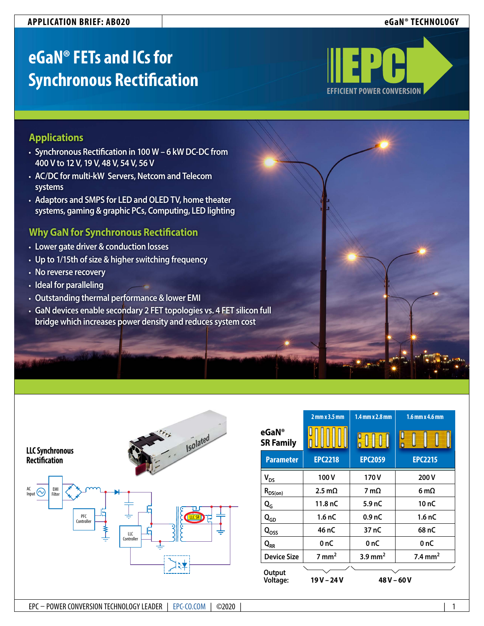### **APPLICATION BRIEF: AB020 eGaN® TECHNOLOGY**

# **eGaN® FETs and ICs for Synchronous Rectification**



# **Applications**

- **• Synchronous Rectification in 100 W 6 kW DC-DC from 400 V to 12 V, 19 V, 48 V, 54 V, 56 V**
- **• AC/DC for multi-kW Servers, Netcom and Telecom systems**
- **• Adaptors and SMPS for LED and OLED TV, home theater systems, gaming & graphic PCs, Computing, LED lighting**

# **Why GaN for Synchronous Rectification**

- **• Lower gate driver & conduction losses**
- **• Up to 1/15th of size & higher switching frequency**
- **• No reverse recovery**
- **• Ideal for paralleling**
- **• Outstanding thermal performance & lower EMI**
- **• GaN devices enable secondary 2 FET topologies vs. 4 FET silicon full bridge which increases power density and reduces system cost**

| <b>LLC Synchronous</b><br>Rectification                           | <b>Isolated</b><br>$\begin{array}{cc} \mathcal{O} & \mathcal{O} \end{array}$ |
|-------------------------------------------------------------------|------------------------------------------------------------------------------|
| $\mathsf{AC}$<br>EMI<br>r<br>Input<br>Filter<br>PFC<br>Controller | <b>IICSR</b><br>LLC<br>Controller                                            |

|                           | $2$ mm $x$ 3.5 mm | 1.4 mm x 2.8 mm       | 1.6 mm x 4.6 mm     |
|---------------------------|-------------------|-----------------------|---------------------|
| eGaN®<br><b>SR Family</b> |                   | $\int_0^0$            |                     |
| <b>Parameter</b>          | <b>EPC2218</b>    | <b>EPC2059</b>        | <b>EPC2215</b>      |
| $V_{DS}$                  | 100V              | 170V                  | 200V                |
| $R_{DS(on)}$              | $2.5 \text{ mA}$  | 7 m $\Omega$          | 6 m $\Omega$        |
| $Q_G$                     | 11.8 nC           | 5.9 <sub>nC</sub>     | $10n$ C             |
| $\mathbf{Q}_{\text{GD}}$  | 1.6 <sub>nC</sub> | 0.9 <sub>nC</sub>     | 1.6 <sub>nC</sub>   |
| $Q_{OSS}$                 | 46 nC             | 37 nC                 | 68 nC               |
| $Q_{RR}$                  | 0 nC              | 0 nC                  | 0 nC                |
| <b>Device Size</b>        | $7 \text{ mm}^2$  | $3.9$ mm <sup>2</sup> | 7.4 mm <sup>2</sup> |
| Output<br>Voltage:        | 19 V – 24 V       | 48 V – 60 V           |                     |